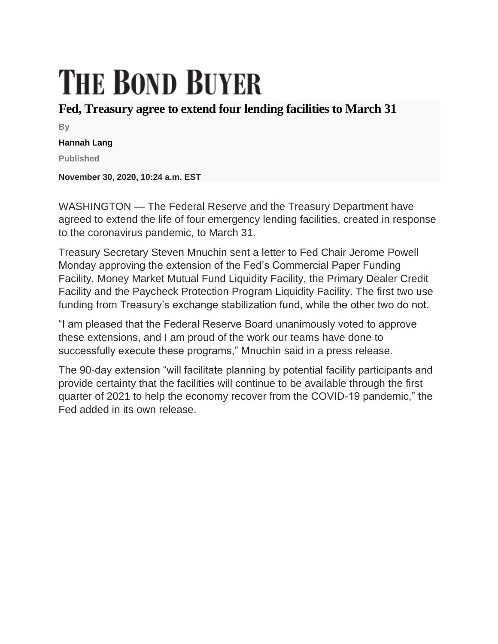## **THE BOND BUYER**

## **Fed, Treasury agree to extend four lending facilities to March 31**

**By**

## **Hannah Lang**

**Published**

**November 30, 2020, 10:24 a.m. EST**

WASHINGTON — The Federal Reserve and the Treasury Department have agreed to extend the life of four emergency lending facilities, created in response to the coronavirus pandemic, to March 31.

Treasury Secretary Steven Mnuchin sent a letter to Fed Chair Jerome Powell Monday approving the extension of the Fed's Commercial Paper Funding Facility, Money Market Mutual Fund Liquidity Facility, the Primary Dealer Credit Facility and the Paycheck Protection Program Liquidity Facility. The first two use funding from Treasury's exchange stabilization fund, while the other two do not.

"I am pleased that the Federal Reserve Board unanimously voted to approve these extensions, and I am proud of the work our teams have done to successfully execute these programs," Mnuchin said in a press release.

The 90-day extension "will facilitate planning by potential facility participants and provide certainty that the facilities will continue to be available through the first quarter of 2021 to help the economy recover from the COVID-19 pandemic," the Fed added in its own release.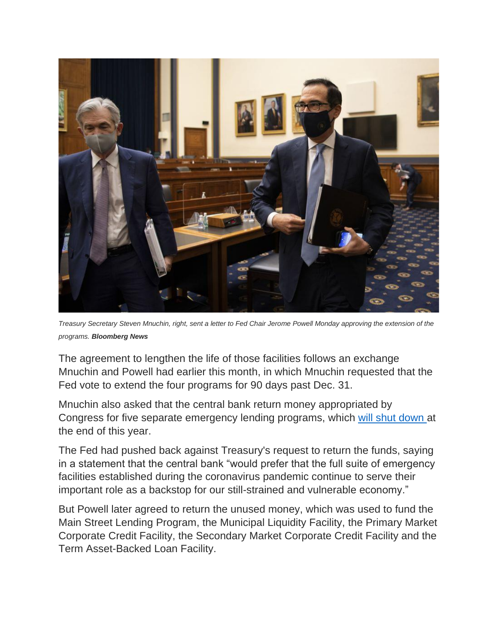

*Treasury Secretary Steven Mnuchin, right, sent a letter to Fed Chair Jerome Powell Monday approving the extension of the programs. Bloomberg News*

The agreement to lengthen the life of those facilities follows an exchange Mnuchin and Powell had earlier this month, in which Mnuchin requested that the Fed vote to extend the four programs for 90 days past Dec. 31.

Mnuchin also asked that the central bank return money appropriated by Congress for five separate emergency lending programs, which [will shut down](https://www.americanbanker.com/news/treasury-wants-cares-act-programs-to-expire-fed-says-not-so-fast) at the end of this year.

The Fed had pushed back against Treasury's request to return the funds, saying in a statement that the central bank "would prefer that the full suite of emergency facilities established during the coronavirus pandemic continue to serve their important role as a backstop for our still-strained and vulnerable economy."

But Powell later agreed to return the unused money, which was used to fund the Main Street Lending Program, the Municipal Liquidity Facility, the Primary Market Corporate Credit Facility, the Secondary Market Corporate Credit Facility and the Term Asset-Backed Loan Facility.